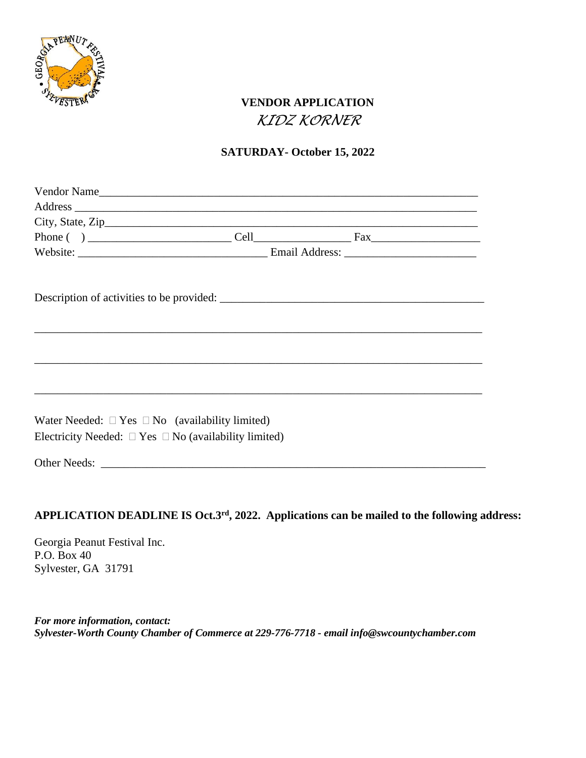

## **VENDOR APPLICATION** *KIDZ KORNER*

## **SATURDAY- October 15, 2022**

|                                                                 | Vendor Name |  |  |
|-----------------------------------------------------------------|-------------|--|--|
|                                                                 |             |  |  |
|                                                                 |             |  |  |
|                                                                 |             |  |  |
|                                                                 |             |  |  |
|                                                                 |             |  |  |
|                                                                 |             |  |  |
|                                                                 |             |  |  |
|                                                                 |             |  |  |
|                                                                 |             |  |  |
|                                                                 |             |  |  |
|                                                                 |             |  |  |
|                                                                 |             |  |  |
|                                                                 |             |  |  |
| Water Needed: $\Box$ Yes $\Box$ No (availability limited)       |             |  |  |
|                                                                 |             |  |  |
| Electricity Needed: $\Box$ Yes $\Box$ No (availability limited) |             |  |  |
|                                                                 |             |  |  |
|                                                                 |             |  |  |

## APPLICATION DEADLINE IS Oct.3<sup>rd</sup>, 2022. Applications can be mailed to the following address:

Georgia Peanut Festival Inc. P.O. Box 40 Sylvester, GA 31791

*For more information, contact: Sylvester-Worth County Chamber of Commerce at 229-776-7718 - email info@swcountychamber.com*